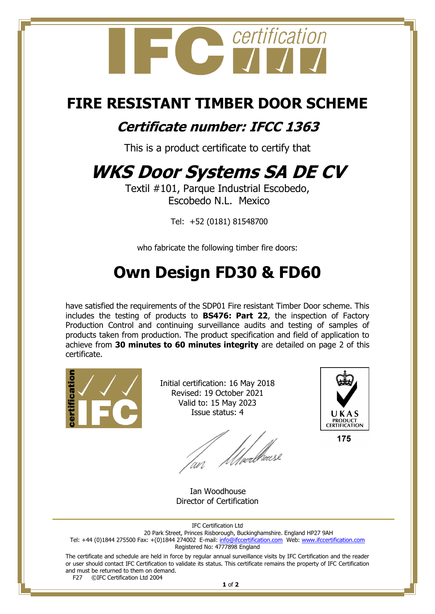

### **FIRE RESISTANT TIMBER DOOR SCHEME**

### **Certificate number: IFCC 1363**

This is a product certificate to certify that

# **WKS Door Systems SA DE CV**

Textil #101, Parque Industrial Escobedo, Escobedo N.L. Mexico

Tel: +52 (0181) 81548700

who fabricate the following timber fire doors:

## **Own Design FD30 & FD60**

have satisfied the requirements of the SDP01 Fire resistant Timber Door scheme. This includes the testing of products to **BS476: Part 22**, the inspection of Factory Production Control and continuing surveillance audits and testing of samples of products taken from production. The product specification and field of application to achieve from **30 minutes to 60 minutes integrity** are detailed on page 2 of this certificate.



Initial certification: 16 May 2018 Revised: 19 October 2021 Valid to: 15 May 2023 Issue status: 4

f //weelhouse



175

 Ian Woodhouse Director of Certification

IFC Certification Ltd

20 Park Street, Princes Risborough, Buckinghamshire. England HP27 9AH Tel: +44 (0)1844 275500 Fax: +(0)1844 274002 E-mail: <u>info@ifccertification.com</u> Web: [www.ifccertification.com](http://www.ifccertification.com/) Registered No: 4777898 England

The certificate and schedule are held in force by regular annual surveillance visits by IFC Certification and the reader or user should contact IFC Certification to validate its status. This certificate remains the property of IFC Certification and must be returned to them on demand.<br>F27  $\bigcirc$  C<sub>Prific</sub>ation Ltd 2004

©IFC Certification Ltd 2004